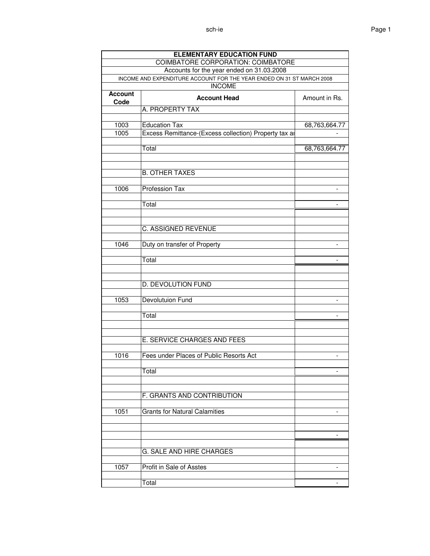| <b>ELEMENTARY EDUCATION FUND</b><br>COIMBATORE CORPORATION: COIMBATORE |                                                                              |                          |  |  |  |
|------------------------------------------------------------------------|------------------------------------------------------------------------------|--------------------------|--|--|--|
|                                                                        | Accounts for the year ended on 31.03.2008                                    |                          |  |  |  |
|                                                                        | INCOME AND EXPENDITURE ACCOUNT FOR THE YEAR ENDED ON 31 ST MARCH 2008        |                          |  |  |  |
| <b>INCOME</b>                                                          |                                                                              |                          |  |  |  |
| <b>Account</b><br>Code                                                 | <b>Account Head</b>                                                          | Amount in Rs.            |  |  |  |
|                                                                        | A. PROPERTY TAX                                                              |                          |  |  |  |
| 1003<br>1005                                                           | <b>Education Tax</b><br>Excess Remittance-(Excess collection) Property tax a | 68,763,664.77            |  |  |  |
|                                                                        | Total                                                                        | 68,763,664.77            |  |  |  |
|                                                                        | <b>B. OTHER TAXES</b>                                                        |                          |  |  |  |
| 1006                                                                   | Profession Tax                                                               |                          |  |  |  |
|                                                                        | Total                                                                        |                          |  |  |  |
|                                                                        | <b>C. ASSIGNED REVENUE</b>                                                   |                          |  |  |  |
| 1046                                                                   | Duty on transfer of Property                                                 | $\overline{\phantom{a}}$ |  |  |  |
|                                                                        | Total                                                                        |                          |  |  |  |
|                                                                        | D. DEVOLUTION FUND                                                           |                          |  |  |  |
| 1053                                                                   | Devolutuion Fund                                                             |                          |  |  |  |
|                                                                        | Total                                                                        |                          |  |  |  |
|                                                                        | E. SERVICE CHARGES AND FEES                                                  |                          |  |  |  |
| 1016                                                                   | Fees under Places of Public Resorts Act                                      |                          |  |  |  |
|                                                                        | Total                                                                        |                          |  |  |  |
|                                                                        | F. GRANTS AND CONTRIBUTION                                                   |                          |  |  |  |
| 1051                                                                   | <b>Grants for Natural Calamities</b>                                         |                          |  |  |  |
|                                                                        |                                                                              |                          |  |  |  |
|                                                                        | G. SALE AND HIRE CHARGES                                                     |                          |  |  |  |
| 1057                                                                   | Profit in Sale of Asstes                                                     |                          |  |  |  |
|                                                                        | Total                                                                        |                          |  |  |  |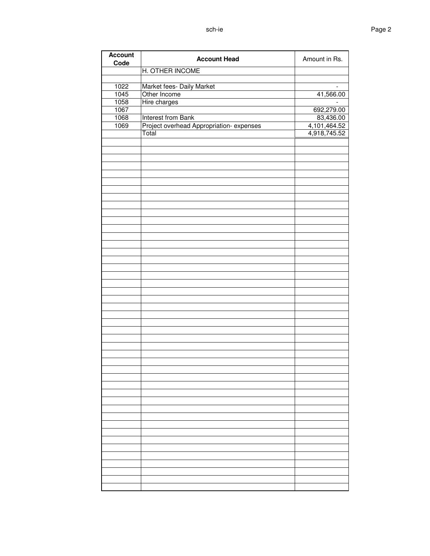| <b>Account</b><br>Code | <b>Account Head</b>                     | Amount in Rs. |
|------------------------|-----------------------------------------|---------------|
|                        | H. OTHER INCOME                         |               |
|                        |                                         |               |
| 1022                   | Market fees- Daily Market               |               |
| 1045                   | Other Income                            | 41,566.00     |
| 1058                   | Hire charges                            |               |
| 1067                   |                                         | 692,279.00    |
| 1068                   | Interest from Bank                      | 83,436.00     |
| 1069                   | Project overhead Appropriation-expenses | 4,101,464.52  |
|                        | Total                                   | 4,918,745.52  |
|                        |                                         |               |
|                        |                                         |               |
|                        |                                         |               |
|                        |                                         |               |
|                        |                                         |               |
|                        |                                         |               |
|                        |                                         |               |
|                        |                                         |               |
|                        |                                         |               |
|                        |                                         |               |
|                        |                                         |               |
|                        |                                         |               |
|                        |                                         |               |
|                        |                                         |               |
|                        |                                         |               |
|                        |                                         |               |
|                        |                                         |               |
|                        |                                         |               |
|                        |                                         |               |
|                        |                                         |               |
|                        |                                         |               |
|                        |                                         |               |
|                        |                                         |               |
|                        |                                         |               |
|                        |                                         |               |
|                        |                                         |               |
|                        |                                         |               |
|                        |                                         |               |
|                        |                                         |               |
|                        |                                         |               |
|                        |                                         |               |
|                        |                                         |               |
|                        |                                         |               |
|                        |                                         |               |
|                        |                                         |               |
|                        |                                         |               |
|                        |                                         |               |
|                        |                                         |               |
|                        |                                         |               |
|                        |                                         |               |
|                        |                                         |               |
|                        |                                         |               |
|                        |                                         |               |
|                        |                                         |               |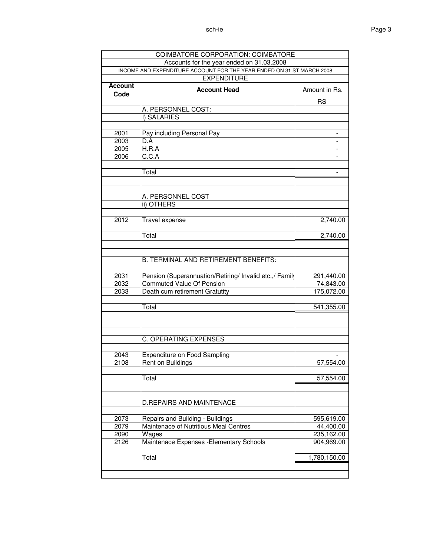|                        | <b>COIMBATORE CORPORATION: COIMBATORE</b>                             |                          |  |  |  |
|------------------------|-----------------------------------------------------------------------|--------------------------|--|--|--|
|                        | Accounts for the year ended on 31.03.2008                             |                          |  |  |  |
|                        | INCOME AND EXPENDITURE ACCOUNT FOR THE YEAR ENDED ON 31 ST MARCH 2008 |                          |  |  |  |
| <b>EXPENDITURE</b>     |                                                                       |                          |  |  |  |
| <b>Account</b><br>Code | <b>Account Head</b>                                                   | Amount in Rs.            |  |  |  |
|                        |                                                                       | <b>RS</b>                |  |  |  |
|                        | A. PERSONNEL COST:                                                    |                          |  |  |  |
|                        | I) SALARIES                                                           |                          |  |  |  |
| 2001                   | Pay including Personal Pay                                            |                          |  |  |  |
| 2003                   | D.A                                                                   | $\overline{\phantom{a}}$ |  |  |  |
| 2005                   | H.R.A                                                                 |                          |  |  |  |
| 2006                   | C.C.A                                                                 | $\overline{\phantom{a}}$ |  |  |  |
|                        | Total                                                                 |                          |  |  |  |
|                        |                                                                       |                          |  |  |  |
|                        | A. PERSONNEL COST                                                     |                          |  |  |  |
|                        | ii) OTHERS                                                            |                          |  |  |  |
|                        |                                                                       |                          |  |  |  |
| 2012                   | Travel expense                                                        | 2,740.00                 |  |  |  |
|                        | Total                                                                 | 2,740.00                 |  |  |  |
|                        |                                                                       |                          |  |  |  |
|                        | B. TERMINAL AND RETIREMENT BENEFITS:                                  |                          |  |  |  |
|                        | Pension (Superannuation/Retiring/ Invalid etc.,/ Family               |                          |  |  |  |
| 2031<br>2032           | Commuted Value Of Pension                                             | 291,440.00<br>74,843.00  |  |  |  |
| 2033                   | Death cum retirement Gratutity                                        | 175,072.00               |  |  |  |
|                        |                                                                       |                          |  |  |  |
|                        | Total                                                                 | 541,355.00               |  |  |  |
|                        |                                                                       |                          |  |  |  |
|                        | C. OPERATING EXPENSES                                                 |                          |  |  |  |
|                        |                                                                       |                          |  |  |  |
| 2043                   | Expenditure on Food Sampling                                          |                          |  |  |  |
| 2108                   | Rent on Buildings                                                     | 57,554.00                |  |  |  |
|                        | Total                                                                 | 57,554.00                |  |  |  |
|                        |                                                                       |                          |  |  |  |
|                        | <b>D.REPAIRS AND MAINTENACE</b>                                       |                          |  |  |  |
|                        |                                                                       |                          |  |  |  |
| 2073                   | Repairs and Building - Buildings                                      | 595,619.00               |  |  |  |
| 2079                   | Maintenace of Nutritious Meal Centres                                 | 44,400.00                |  |  |  |
| 2090                   | Wages                                                                 | 235,162.00               |  |  |  |
| 2126                   | Maintenace Expenses - Elementary Schools                              | 904,969.00               |  |  |  |
|                        | Total                                                                 | 1,780,150.00             |  |  |  |
|                        |                                                                       |                          |  |  |  |